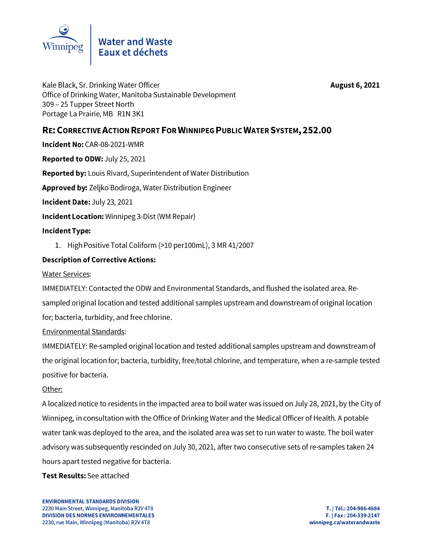

**August 6, 2021** 

Kale Black, Sr. Drinking Water Officer Office of Drinking Water, Manitoba Sustainable Development 309 - 25 Tupper Street North Portage La Prairie, MB R1N 3K1

# RE: CORRECTIVE ACTION REPORT FOR WINNIPEG PUBLIC WATER SYSTEM, 252.00

Incident No: CAR-08-2021-WMR

Reported to ODW: July 25, 2021

Reported by: Louis Rivard, Superintendent of Water Distribution

Approved by: Zeliko Bodiroga, Water Distribution Engineer

Incident Date: July 23, 2021

**Incident Location: Winnipeg 3-Dist (WM Repair)** 

### **Incident Type:**

1. High Positive Total Coliform (>10 per100mL), 3 MR 41/2007

## **Description of Corrective Actions:**

**Water Services:** 

IMMEDIATELY: Contacted the ODW and Environmental Standards, and flushed the isolated area. Resampled original location and tested additional samples upstream and downstream of original location for; bacteria, turbidity, and free chlorine.

### **Environmental Standards:**

IMMEDIATELY: Re-sampled original location and tested additional samples upstream and downstream of the original location for; bacteria, turbidity, free/total chlorine, and temperature, when a re-sample tested positive for bacteria.

### Other:

A localized notice to residents in the impacted area to boil water was issued on July 28, 2021, by the City of Winnipeg, in consultation with the Office of Drinking Water and the Medical Officer of Health. A potable water tank was deployed to the area, and the isolated area was set to run water to waste. The boil water advisory was subsequently rescinded on July 30, 2021, after two consecutive sets of re-samples taken 24 hours apart tested negative for bacteria.

### Test Results: See attached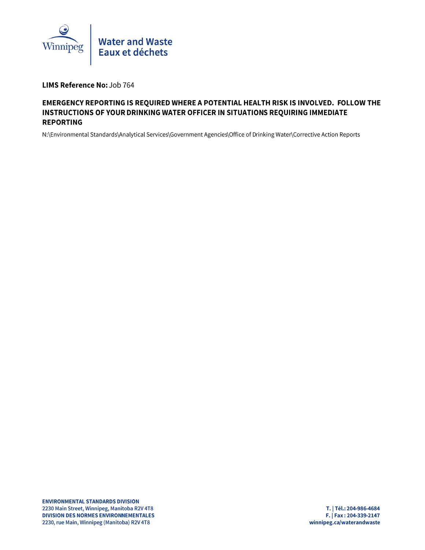

LIMS Reference No: Job 764

### EMERGENCY REPORTING IS REQUIRED WHERE A POTENTIAL HEALTH RISK IS INVOLVED. FOLLOW THE INSTRUCTIONS OF YOUR DRINKING WATER OFFICER IN SITUATIONS REQUIRING IMMEDIATE **REPORTING**

N:\Environmental Standards\Analytical Services\Government Agencies\Office of Drinking Water\Corrective Action Reports